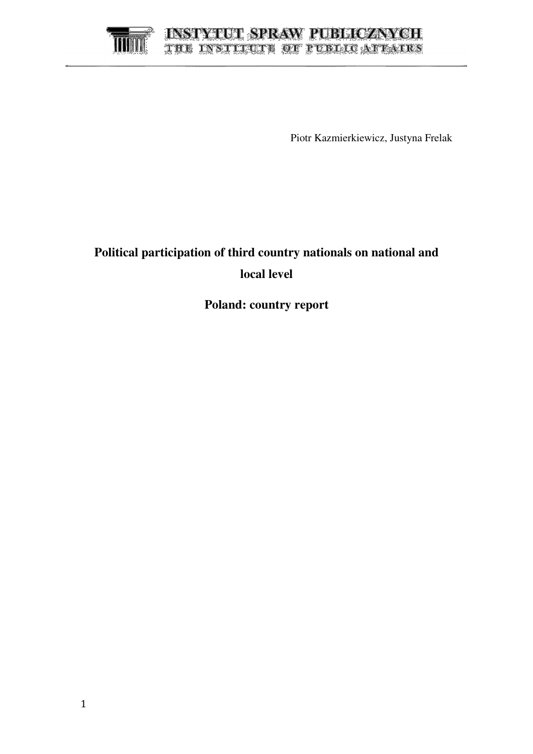# **INSTYTUT SPRAW PUBLICZNYCH** THE INSTITUTE OF PUBLICATIONS

Piotr Kazmierkiewicz, Justyna Frelak

# **Political participation of third country nationals on national and local level**

**Poland: country report**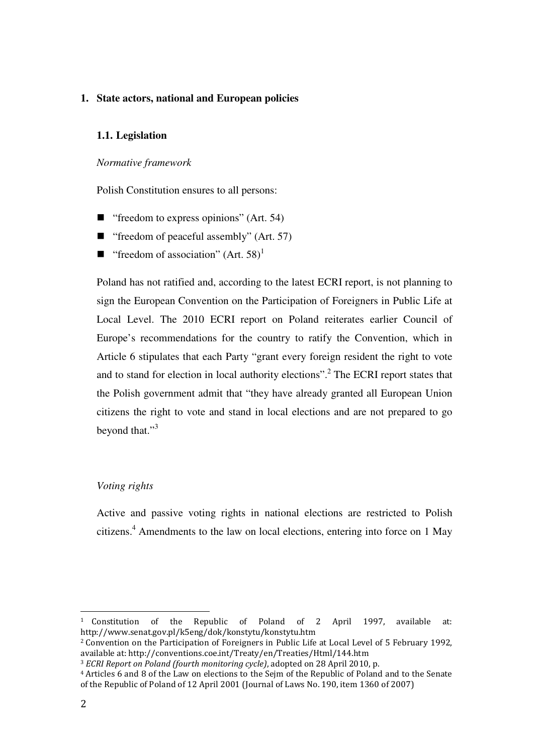### **1. State actors, national and European policies**

#### **1.1. Legislation**

#### *Normative framework*

Polish Constitution ensures to all persons:

- $\blacksquare$  "freedom to express opinions" (Art. 54)
- " "freedom of peaceful assembly"  $(Art. 57)$
- " freedom of association" (Art. 58)<sup>1</sup>

Poland has not ratified and, according to the latest ECRI report, is not planning to sign the European Convention on the Participation of Foreigners in Public Life at Local Level. The 2010 ECRI report on Poland reiterates earlier Council of Europe's recommendations for the country to ratify the Convention, which in Article 6 stipulates that each Party "grant every foreign resident the right to vote and to stand for election in local authority elections".<sup>2</sup> The ECRI report states that the Polish government admit that "they have already granted all European Union citizens the right to vote and stand in local elections and are not prepared to go beyond that."<sup>3</sup>

#### *Voting rights*

Active and passive voting rights in national elections are restricted to Polish citizens.<sup>4</sup> Amendments to the law on local elections, entering into force on 1 May

<sup>1</sup> Constitution of the Republic of Poland of 2 April 1997, available at: http://www.senat.gov.pl/k5eng/dok/konstytu/konstytu.htm

<sup>2</sup> Convention on the Participation of Foreigners in Public Life at Local Level of 5 February 1992, available at: http://conventions.coe.int/Treaty/en/Treaties/Html/144.htm

<sup>3</sup> ECRI Report on Poland (fourth monitoring cycle), adopted on 28 April 2010, p.

<sup>4</sup> Articles 6 and 8 of the Law on elections to the Sejm of the Republic of Poland and to the Senate of the Republic of Poland of 12 April 2001 (Journal of Laws No. 190, item 1360 of 2007)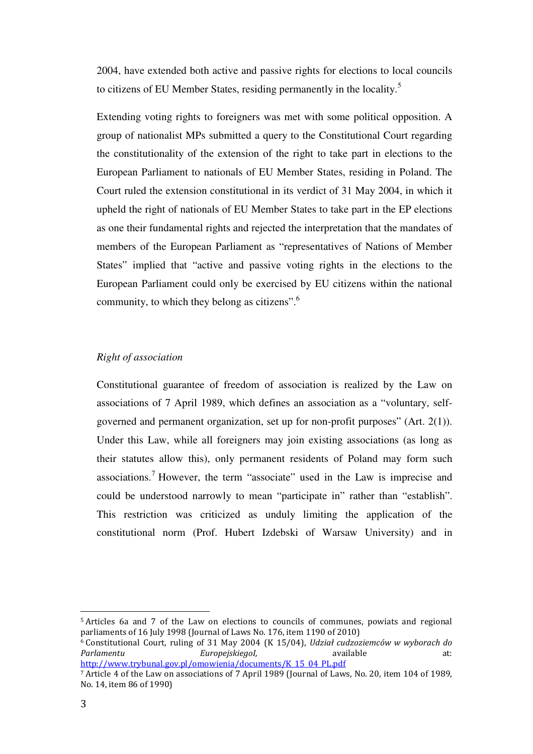2004, have extended both active and passive rights for elections to local councils to citizens of EU Member States, residing permanently in the locality.<sup>5</sup>

Extending voting rights to foreigners was met with some political opposition. A group of nationalist MPs submitted a query to the Constitutional Court regarding the constitutionality of the extension of the right to take part in elections to the European Parliament to nationals of EU Member States, residing in Poland. The Court ruled the extension constitutional in its verdict of 31 May 2004, in which it upheld the right of nationals of EU Member States to take part in the EP elections as one their fundamental rights and rejected the interpretation that the mandates of members of the European Parliament as "representatives of Nations of Member States" implied that "active and passive voting rights in the elections to the European Parliament could only be exercised by EU citizens within the national community, to which they belong as citizens".<sup>6</sup>

#### *Right of association*

Constitutional guarantee of freedom of association is realized by the Law on associations of 7 April 1989, which defines an association as a "voluntary, selfgoverned and permanent organization, set up for non-profit purposes" (Art. 2(1)). Under this Law, while all foreigners may join existing associations (as long as their statutes allow this), only permanent residents of Poland may form such associations.<sup>7</sup> However, the term "associate" used in the Law is imprecise and could be understood narrowly to mean "participate in" rather than "establish". This restriction was criticized as unduly limiting the application of the constitutional norm (Prof. Hubert Izdebski of Warsaw University) and in

<sup>5</sup> Articles 6a and 7 of the Law on elections to councils of communes, powiats and regional parliaments of 16 July 1998 (Journal of Laws No. 176, item 1190 of 2010)

<sup>6</sup> Constitutional Court, ruling of 31 May 2004 (K 15/04), Udział cudzoziemców w wyborach do Parlamentu EuropejskiegoI, available at: http://www.trybunal.gov.pl/omowienia/documents/K\_15\_04\_PL.pdf

<sup>7</sup> Article 4 of the Law on associations of 7 April 1989 (Journal of Laws, No. 20, item 104 of 1989, No. 14, item 86 of 1990)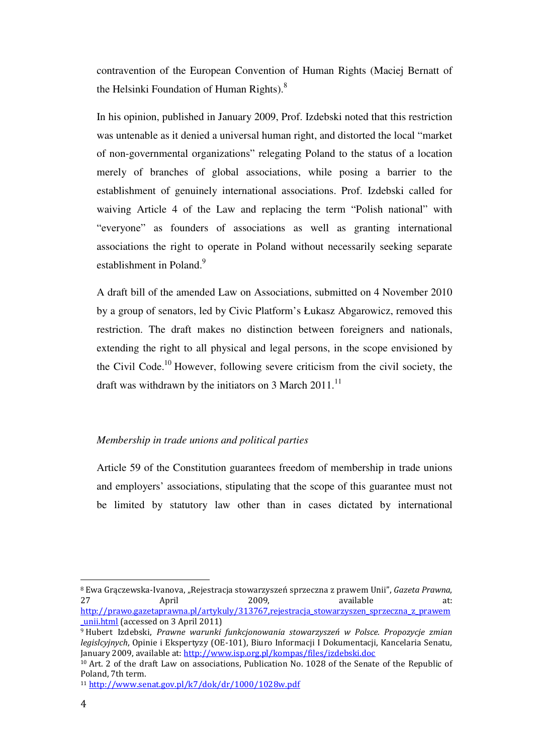contravention of the European Convention of Human Rights (Maciej Bernatt of the Helsinki Foundation of Human Rights).<sup>8</sup>

In his opinion, published in January 2009, Prof. Izdebski noted that this restriction was untenable as it denied a universal human right, and distorted the local "market of non-governmental organizations" relegating Poland to the status of a location merely of branches of global associations, while posing a barrier to the establishment of genuinely international associations. Prof. Izdebski called for waiving Article 4 of the Law and replacing the term "Polish national" with "everyone" as founders of associations as well as granting international associations the right to operate in Poland without necessarily seeking separate establishment in Poland.<sup>9</sup>

A draft bill of the amended Law on Associations, submitted on 4 November 2010 by a group of senators, led by Civic Platform's Łukasz Abgarowicz, removed this restriction. The draft makes no distinction between foreigners and nationals, extending the right to all physical and legal persons, in the scope envisioned by the Civil Code.<sup>10</sup> However, following severe criticism from the civil society, the draft was withdrawn by the initiators on 3 March  $2011$ .<sup>11</sup>

#### *Membership in trade unions and political parties*

Article 59 of the Constitution guarantees freedom of membership in trade unions and employers' associations, stipulating that the scope of this guarantee must not be limited by statutory law other than in cases dictated by international

<sup>&</sup>lt;sup>8</sup> Ewa Graczewska-Ivanova, "Rejestracja stowarzyszeń sprzeczna z prawem Unii", Gazeta Prawna, 27 April 2009, available at: http://prawo.gazetaprawna.pl/artykuly/313767,rejestracja\_stowarzyszen\_sprzeczna\_z\_prawem \_unii.html (accessed on 3 April 2011)

<sup>9</sup> Hubert Izdebski, Prawne warunki funkcjonowania stowarzyszeń w Polsce. Propozycje zmian legislcyjnych, Opinie i Ekspertyzy (OE-101), Biuro Informacji I Dokumentacji, Kancelaria Senatu, January 2009, available at: http://www.isp.org.pl/kompas/files/izdebski.doc

<sup>10</sup> Art. 2 of the draft Law on associations, Publication No. 1028 of the Senate of the Republic of Poland, 7th term.

<sup>11</sup> http://www.senat.gov.pl/k7/dok/dr/1000/1028w.pdf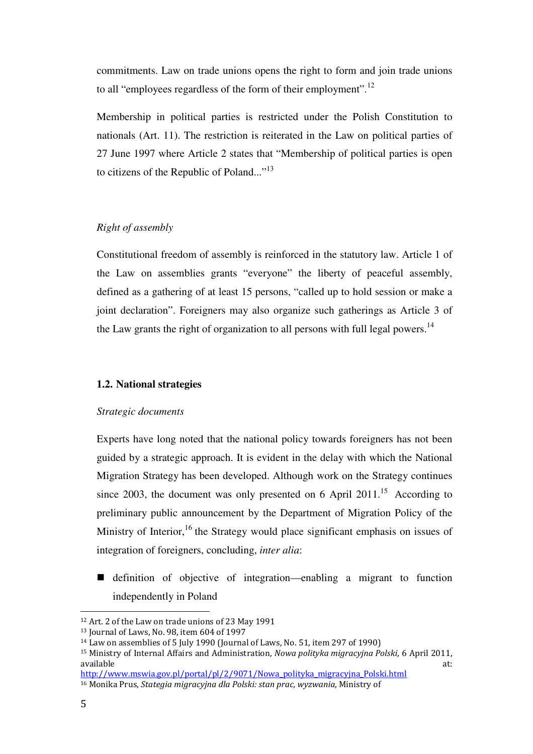commitments. Law on trade unions opens the right to form and join trade unions to all "employees regardless of the form of their employment".<sup>12</sup>

Membership in political parties is restricted under the Polish Constitution to nationals (Art. 11). The restriction is reiterated in the Law on political parties of 27 June 1997 where Article 2 states that "Membership of political parties is open to citizens of the Republic of Poland..."<sup>13</sup>

#### *Right of assembly*

Constitutional freedom of assembly is reinforced in the statutory law. Article 1 of the Law on assemblies grants "everyone" the liberty of peaceful assembly, defined as a gathering of at least 15 persons, "called up to hold session or make a joint declaration". Foreigners may also organize such gatherings as Article 3 of the Law grants the right of organization to all persons with full legal powers.<sup>14</sup>

#### **1.2. National strategies**

#### *Strategic documents*

Experts have long noted that the national policy towards foreigners has not been guided by a strategic approach. It is evident in the delay with which the National Migration Strategy has been developed. Although work on the Strategy continues since 2003, the document was only presented on 6 April 2011.<sup>15</sup> According to preliminary public announcement by the Department of Migration Policy of the Ministry of Interior,<sup>16</sup> the Strategy would place significant emphasis on issues of integration of foreigners, concluding, *inter alia*:

 definition of objective of integration—enabling a migrant to function independently in Poland

<sup>12</sup> Art. 2 of the Law on trade unions of 23 May 1991

<sup>13</sup> Journal of Laws, No. 98, item 604 of 1997

<sup>14</sup> Law on assemblies of 5 July 1990 (Journal of Laws, No. 51, item 297 of 1990)

<sup>&</sup>lt;sup>15</sup> Ministry of Internal Affairs and Administration, Nowa polityka migracyjna Polski, 6 April 2011, available at: the state at a state at  $\alpha$  and  $\alpha$  at  $\alpha$  at  $\alpha$ 

http://www.mswia.gov.pl/portal/pl/2/9071/Nowa\_polityka\_migracyjna\_Polski.html 16 Monika Prus, Stategia migracyjna dla Polski: stan prac, wyzwania, Ministry of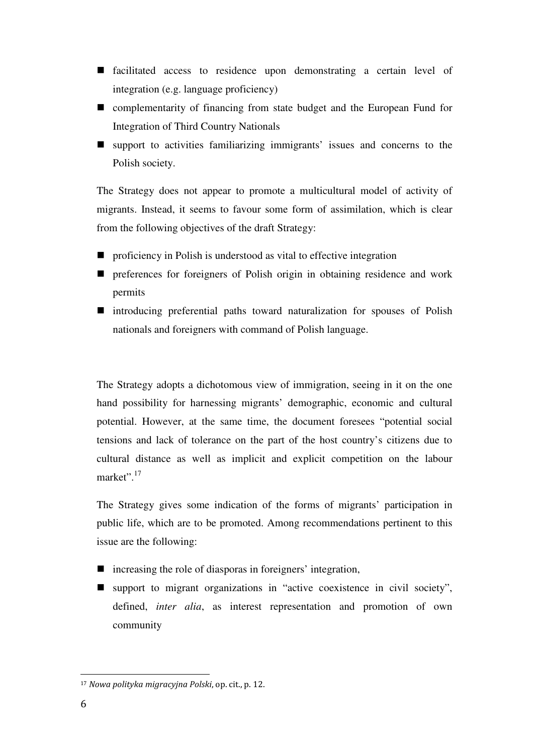- facilitated access to residence upon demonstrating a certain level of integration (e.g. language proficiency)
- complementarity of financing from state budget and the European Fund for Integration of Third Country Nationals
- support to activities familiarizing immigrants' issues and concerns to the Polish society.

The Strategy does not appear to promote a multicultural model of activity of migrants. Instead, it seems to favour some form of assimilation, which is clear from the following objectives of the draft Strategy:

- **P** proficiency in Polish is understood as vital to effective integration
- **P** preferences for foreigners of Polish origin in obtaining residence and work permits
- introducing preferential paths toward naturalization for spouses of Polish nationals and foreigners with command of Polish language.

The Strategy adopts a dichotomous view of immigration, seeing in it on the one hand possibility for harnessing migrants' demographic, economic and cultural potential. However, at the same time, the document foresees "potential social tensions and lack of tolerance on the part of the host country's citizens due to cultural distance as well as implicit and explicit competition on the labour market".<sup>17</sup>

The Strategy gives some indication of the forms of migrants' participation in public life, which are to be promoted. Among recommendations pertinent to this issue are the following:

- increasing the role of diasporas in foreigners' integration,
- support to migrant organizations in "active coexistence in civil society", defined, *inter alia*, as interest representation and promotion of own community

<sup>17</sup> Nowa polityka migracyjna Polski, op. cit., p. 12.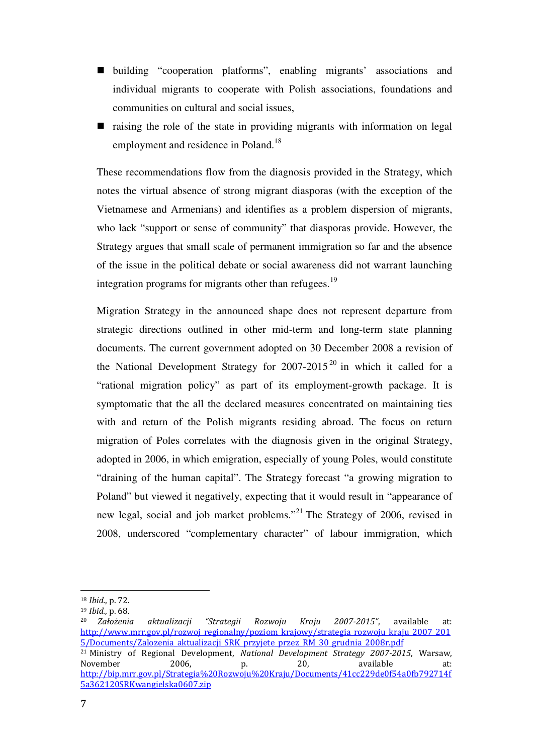- building "cooperation platforms", enabling migrants' associations and individual migrants to cooperate with Polish associations, foundations and communities on cultural and social issues,
- $\blacksquare$  raising the role of the state in providing migrants with information on legal employment and residence in Poland.<sup>18</sup>

These recommendations flow from the diagnosis provided in the Strategy, which notes the virtual absence of strong migrant diasporas (with the exception of the Vietnamese and Armenians) and identifies as a problem dispersion of migrants, who lack "support or sense of community" that diasporas provide. However, the Strategy argues that small scale of permanent immigration so far and the absence of the issue in the political debate or social awareness did not warrant launching integration programs for migrants other than refugees.<sup>19</sup>

Migration Strategy in the announced shape does not represent departure from strategic directions outlined in other mid-term and long-term state planning documents. The current government adopted on 30 December 2008 a revision of the National Development Strategy for  $2007-2015^{20}$  in which it called for a "rational migration policy" as part of its employment-growth package. It is symptomatic that the all the declared measures concentrated on maintaining ties with and return of the Polish migrants residing abroad. The focus on return migration of Poles correlates with the diagnosis given in the original Strategy, adopted in 2006, in which emigration, especially of young Poles, would constitute "draining of the human capital". The Strategy forecast "a growing migration to Poland" but viewed it negatively, expecting that it would result in "appearance of new legal, social and job market problems."<sup>21</sup> The Strategy of 2006, revised in 2008, underscored "complementary character" of labour immigration, which

<sup>18</sup> Ibid., p. 72.

<sup>19</sup> Ibid., p. 68.

<sup>20</sup> Założenia aktualizacji "Strategii Rozwoju Kraju 2007-2015", available at: http://www.mrr.gov.pl/rozwoj\_regionalny/poziom\_krajowy/strategia\_rozwoju\_kraju\_2007\_201 5/Documents/Zalozenia\_aktualizacji\_SRK\_przyjete\_przez\_RM\_30\_grudnia\_2008r.pdf <sup>21</sup> Ministry of Regional Development, National Development Strategy 2007-2015, Warsaw, November 2006, p. 20, available at: http://bip.mrr.gov.pl/Strategia%20Rozwoju%20Kraju/Documents/41cc229de0f54a0fb792714f 5a362120SRKwangielska0607.zip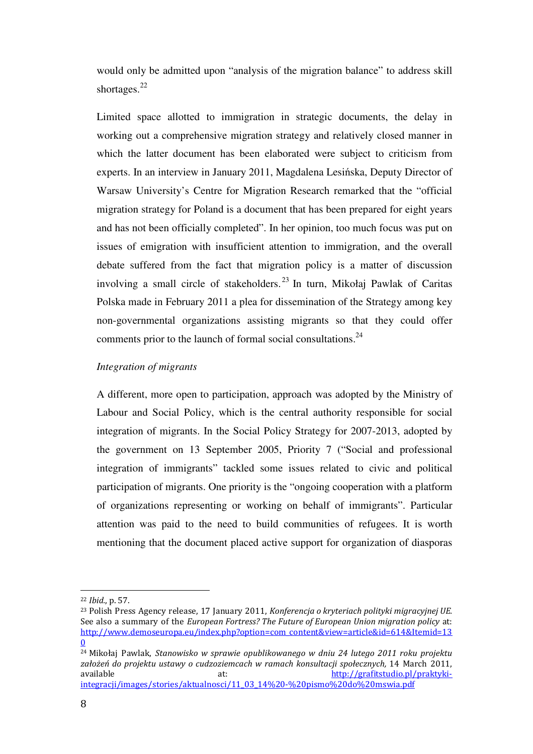would only be admitted upon "analysis of the migration balance" to address skill shortages.<sup>22</sup>

Limited space allotted to immigration in strategic documents, the delay in working out a comprehensive migration strategy and relatively closed manner in which the latter document has been elaborated were subject to criticism from experts. In an interview in January 2011, Magdalena Lesińska, Deputy Director of Warsaw University's Centre for Migration Research remarked that the "official migration strategy for Poland is a document that has been prepared for eight years and has not been officially completed". In her opinion, too much focus was put on issues of emigration with insufficient attention to immigration, and the overall debate suffered from the fact that migration policy is a matter of discussion involving a small circle of stakeholders.<sup>23</sup> In turn, Mikołaj Pawlak of Caritas Polska made in February 2011 a plea for dissemination of the Strategy among key non-governmental organizations assisting migrants so that they could offer comments prior to the launch of formal social consultations.<sup>24</sup>

#### *Integration of migrants*

A different, more open to participation, approach was adopted by the Ministry of Labour and Social Policy, which is the central authority responsible for social integration of migrants. In the Social Policy Strategy for 2007-2013, adopted by the government on 13 September 2005, Priority 7 ("Social and professional integration of immigrants" tackled some issues related to civic and political participation of migrants. One priority is the "ongoing cooperation with a platform of organizations representing or working on behalf of immigrants". Particular attention was paid to the need to build communities of refugees. It is worth mentioning that the document placed active support for organization of diasporas

<sup>22</sup> Ibid., p. 57.

<sup>&</sup>lt;sup>23</sup> Polish Press Agency release, 17 January 2011, Konferencja o kryteriach polityki migracyjnej UE. See also a summary of the European Fortress? The Future of European Union migration policy at: http://www.demoseuropa.eu/index.php?option=com\_content&view=article&id=614&Itemid=13 0

<sup>24</sup> Mikołaj Pawlak, Stanowisko w sprawie opublikowanego w dniu 24 lutego 2011 roku projektu założeń do projektu ustawy o cudzoziemcach w ramach konsultacji społecznych, 14 March 2011, available at: http://grafitstudio.pl/praktykiintegracji/images/stories/aktualnosci/11\_03\_14%20-%20pismo%20do%20mswia.pdf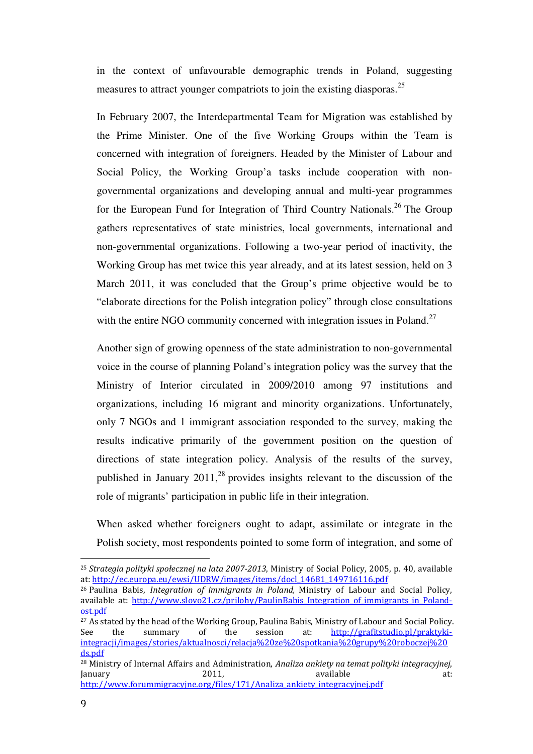in the context of unfavourable demographic trends in Poland, suggesting measures to attract younger compatriots to join the existing diasporas.<sup>25</sup>

In February 2007, the Interdepartmental Team for Migration was established by the Prime Minister. One of the five Working Groups within the Team is concerned with integration of foreigners. Headed by the Minister of Labour and Social Policy, the Working Group'a tasks include cooperation with nongovernmental organizations and developing annual and multi-year programmes for the European Fund for Integration of Third Country Nationals.<sup>26</sup> The Group gathers representatives of state ministries, local governments, international and non-governmental organizations. Following a two-year period of inactivity, the Working Group has met twice this year already, and at its latest session, held on 3 March 2011, it was concluded that the Group's prime objective would be to "elaborate directions for the Polish integration policy" through close consultations with the entire NGO community concerned with integration issues in Poland.<sup>27</sup>

Another sign of growing openness of the state administration to non-governmental voice in the course of planning Poland's integration policy was the survey that the Ministry of Interior circulated in 2009/2010 among 97 institutions and organizations, including 16 migrant and minority organizations. Unfortunately, only 7 NGOs and 1 immigrant association responded to the survey, making the results indicative primarily of the government position on the question of directions of state integration policy. Analysis of the results of the survey, published in January  $2011$ ,<sup>28</sup> provides insights relevant to the discussion of the role of migrants' participation in public life in their integration.

When asked whether foreigners ought to adapt, assimilate or integrate in the Polish society, most respondents pointed to some form of integration, and some of

<sup>&</sup>lt;sup>25</sup> Strategia polityki społecznej na lata 2007-2013, Ministry of Social Policy, 2005, p. 40, available at: http://ec.europa.eu/ewsi/UDRW/images/items/docl\_14681\_149716116.pdf

 $26$  Paulina Babis, Integration of immigrants in Poland, Ministry of Labour and Social Policy, available at: http://www.slovo21.cz/prilohy/PaulinBabis\_Integration\_of\_immigrants\_in\_Polandost.pdf

<sup>&</sup>lt;sup>27</sup> As stated by the head of the Working Group, Paulina Babis, Ministry of Labour and Social Policy. See the summary of the session at: http://grafitstudio.pl/praktykiintegracji/images/stories/aktualnosci/relacja%20ze%20spotkania%20grupy%20roboczej%20 ds.pdf

<sup>&</sup>lt;sup>28</sup> Ministry of Internal Affairs and Administration, Analiza ankiety na temat polityki integracyjnej, January 2011, available at: http://www.forummigracyjne.org/files/171/Analiza\_ankiety\_integracyjnej.pdf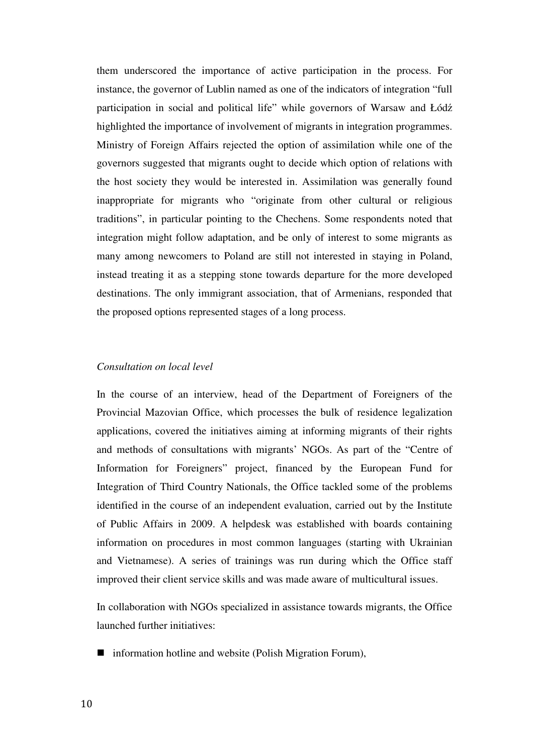them underscored the importance of active participation in the process. For instance, the governor of Lublin named as one of the indicators of integration "full participation in social and political life" while governors of Warsaw and Łódź highlighted the importance of involvement of migrants in integration programmes. Ministry of Foreign Affairs rejected the option of assimilation while one of the governors suggested that migrants ought to decide which option of relations with the host society they would be interested in. Assimilation was generally found inappropriate for migrants who "originate from other cultural or religious traditions", in particular pointing to the Chechens. Some respondents noted that integration might follow adaptation, and be only of interest to some migrants as many among newcomers to Poland are still not interested in staying in Poland, instead treating it as a stepping stone towards departure for the more developed destinations. The only immigrant association, that of Armenians, responded that the proposed options represented stages of a long process.

#### *Consultation on local level*

In the course of an interview, head of the Department of Foreigners of the Provincial Mazovian Office, which processes the bulk of residence legalization applications, covered the initiatives aiming at informing migrants of their rights and methods of consultations with migrants' NGOs. As part of the "Centre of Information for Foreigners" project, financed by the European Fund for Integration of Third Country Nationals, the Office tackled some of the problems identified in the course of an independent evaluation, carried out by the Institute of Public Affairs in 2009. A helpdesk was established with boards containing information on procedures in most common languages (starting with Ukrainian and Vietnamese). A series of trainings was run during which the Office staff improved their client service skills and was made aware of multicultural issues.

In collaboration with NGOs specialized in assistance towards migrants, the Office launched further initiatives:

■ information hotline and website (Polish Migration Forum),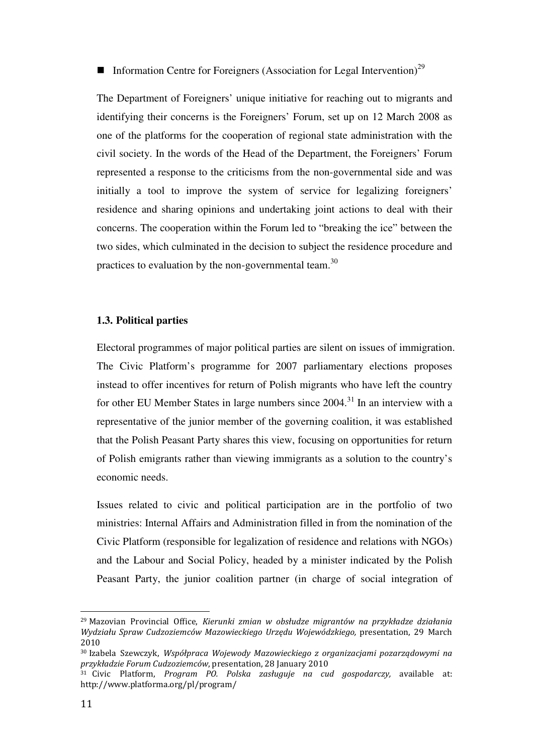# **Information Centre for Foreigners (Association for Legal Intervention)**<sup>29</sup>

The Department of Foreigners' unique initiative for reaching out to migrants and identifying their concerns is the Foreigners' Forum, set up on 12 March 2008 as one of the platforms for the cooperation of regional state administration with the civil society. In the words of the Head of the Department, the Foreigners' Forum represented a response to the criticisms from the non-governmental side and was initially a tool to improve the system of service for legalizing foreigners' residence and sharing opinions and undertaking joint actions to deal with their concerns. The cooperation within the Forum led to "breaking the ice" between the two sides, which culminated in the decision to subject the residence procedure and practices to evaluation by the non-governmental team.<sup>30</sup>

#### **1.3. Political parties**

Electoral programmes of major political parties are silent on issues of immigration. The Civic Platform's programme for 2007 parliamentary elections proposes instead to offer incentives for return of Polish migrants who have left the country for other EU Member States in large numbers since  $2004$ <sup>31</sup>. In an interview with a representative of the junior member of the governing coalition, it was established that the Polish Peasant Party shares this view, focusing on opportunities for return of Polish emigrants rather than viewing immigrants as a solution to the country's economic needs.

Issues related to civic and political participation are in the portfolio of two ministries: Internal Affairs and Administration filled in from the nomination of the Civic Platform (responsible for legalization of residence and relations with NGOs) and the Labour and Social Policy, headed by a minister indicated by the Polish Peasant Party, the junior coalition partner (in charge of social integration of

<sup>29</sup> Mazovian Provincial Office, Kierunki zmian w obsłudze migrantów na przykładze działania Wydziału Spraw Cudzoziemców Mazowieckiego Urzędu Wojewódzkiego, presentation, 29 March 2010

<sup>30</sup> Izabela Szewczyk, Współpraca Wojewody Mazowieckiego z organizacjami pozarządowymi na przykładzie Forum Cudzoziemców, presentation, 28 January 2010

 $31$  Civic Platform, Program PO. Polska zasługuje na cud gospodarczy, available at: http://www.platforma.org/pl/program/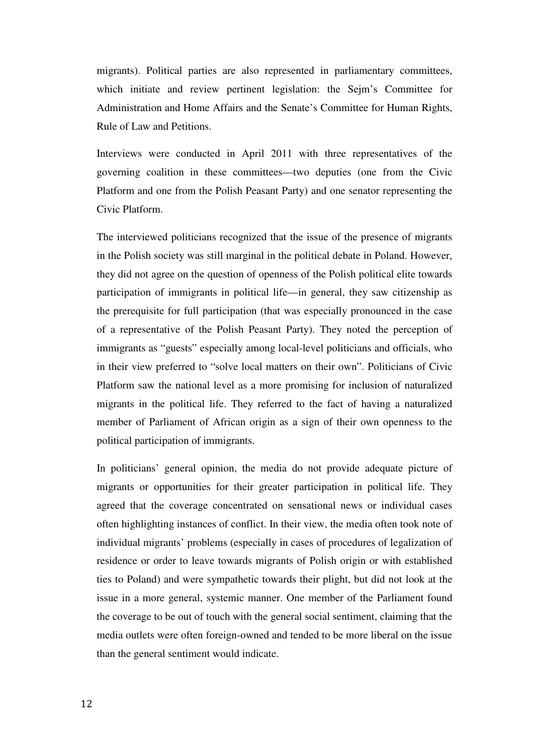migrants). Political parties are also represented in parliamentary committees, which initiate and review pertinent legislation: the Sejm's Committee for Administration and Home Affairs and the Senate's Committee for Human Rights, Rule of Law and Petitions.

Interviews were conducted in April 2011 with three representatives of the governing coalition in these committees—two deputies (one from the Civic Platform and one from the Polish Peasant Party) and one senator representing the Civic Platform.

The interviewed politicians recognized that the issue of the presence of migrants in the Polish society was still marginal in the political debate in Poland. However, they did not agree on the question of openness of the Polish political elite towards participation of immigrants in political life—in general, they saw citizenship as the prerequisite for full participation (that was especially pronounced in the case of a representative of the Polish Peasant Party). They noted the perception of immigrants as "guests" especially among local-level politicians and officials, who in their view preferred to "solve local matters on their own". Politicians of Civic Platform saw the national level as a more promising for inclusion of naturalized migrants in the political life. They referred to the fact of having a naturalized member of Parliament of African origin as a sign of their own openness to the political participation of immigrants.

In politicians' general opinion, the media do not provide adequate picture of migrants or opportunities for their greater participation in political life. They agreed that the coverage concentrated on sensational news or individual cases often highlighting instances of conflict. In their view, the media often took note of individual migrants' problems (especially in cases of procedures of legalization of residence or order to leave towards migrants of Polish origin or with established ties to Poland) and were sympathetic towards their plight, but did not look at the issue in a more general, systemic manner. One member of the Parliament found the coverage to be out of touch with the general social sentiment, claiming that the media outlets were often foreign-owned and tended to be more liberal on the issue than the general sentiment would indicate.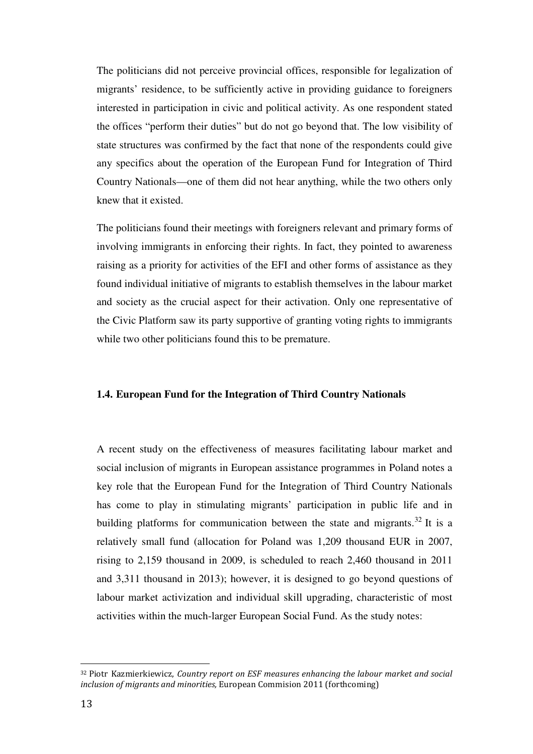The politicians did not perceive provincial offices, responsible for legalization of migrants' residence, to be sufficiently active in providing guidance to foreigners interested in participation in civic and political activity. As one respondent stated the offices "perform their duties" but do not go beyond that. The low visibility of state structures was confirmed by the fact that none of the respondents could give any specifics about the operation of the European Fund for Integration of Third Country Nationals—one of them did not hear anything, while the two others only knew that it existed.

The politicians found their meetings with foreigners relevant and primary forms of involving immigrants in enforcing their rights. In fact, they pointed to awareness raising as a priority for activities of the EFI and other forms of assistance as they found individual initiative of migrants to establish themselves in the labour market and society as the crucial aspect for their activation. Only one representative of the Civic Platform saw its party supportive of granting voting rights to immigrants while two other politicians found this to be premature.

#### **1.4. European Fund for the Integration of Third Country Nationals**

A recent study on the effectiveness of measures facilitating labour market and social inclusion of migrants in European assistance programmes in Poland notes a key role that the European Fund for the Integration of Third Country Nationals has come to play in stimulating migrants' participation in public life and in building platforms for communication between the state and migrants.<sup>32</sup> It is a relatively small fund (allocation for Poland was 1,209 thousand EUR in 2007, rising to 2,159 thousand in 2009, is scheduled to reach 2,460 thousand in 2011 and 3,311 thousand in 2013); however, it is designed to go beyond questions of labour market activization and individual skill upgrading, characteristic of most activities within the much-larger European Social Fund. As the study notes:

<sup>&</sup>lt;sup>32</sup> Piotr Kazmierkiewicz, Country report on ESF measures enhancing the labour market and social inclusion of migrants and minorities, European Commision 2011 (forthcoming)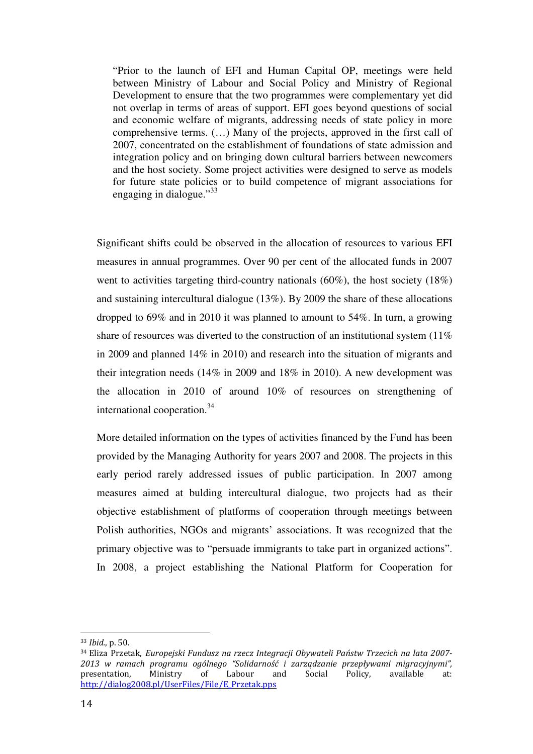"Prior to the launch of EFI and Human Capital OP, meetings were held between Ministry of Labour and Social Policy and Ministry of Regional Development to ensure that the two programmes were complementary yet did not overlap in terms of areas of support. EFI goes beyond questions of social and economic welfare of migrants, addressing needs of state policy in more comprehensive terms. (…) Many of the projects, approved in the first call of 2007, concentrated on the establishment of foundations of state admission and integration policy and on bringing down cultural barriers between newcomers and the host society. Some project activities were designed to serve as models for future state policies or to build competence of migrant associations for engaging in dialogue."<sup>33</sup>

Significant shifts could be observed in the allocation of resources to various EFI measures in annual programmes. Over 90 per cent of the allocated funds in 2007 went to activities targeting third-country nationals (60%), the host society (18%) and sustaining intercultural dialogue (13%). By 2009 the share of these allocations dropped to 69% and in 2010 it was planned to amount to 54%. In turn, a growing share of resources was diverted to the construction of an institutional system (11%) in 2009 and planned 14% in 2010) and research into the situation of migrants and their integration needs (14% in 2009 and 18% in 2010). A new development was the allocation in 2010 of around 10% of resources on strengthening of international cooperation.<sup>34</sup>

More detailed information on the types of activities financed by the Fund has been provided by the Managing Authority for years 2007 and 2008. The projects in this early period rarely addressed issues of public participation. In 2007 among measures aimed at bulding intercultural dialogue, two projects had as their objective establishment of platforms of cooperation through meetings between Polish authorities, NGOs and migrants' associations. It was recognized that the primary objective was to "persuade immigrants to take part in organized actions". In 2008, a project establishing the National Platform for Cooperation for

<sup>33</sup> Ibid., p. 50.

<sup>34</sup> Eliza Przetak, Europejski Fundusz na rzecz Integracji Obywateli Państw Trzecich na lata 2007- 2013 w ramach programu ogólnego "Solidarność i zarządzanie przepływami migracyjnymi", presentation, Ministry of Labour and Social Policy, available at: http://dialog2008.pl/UserFiles/File/E\_Przetak.pps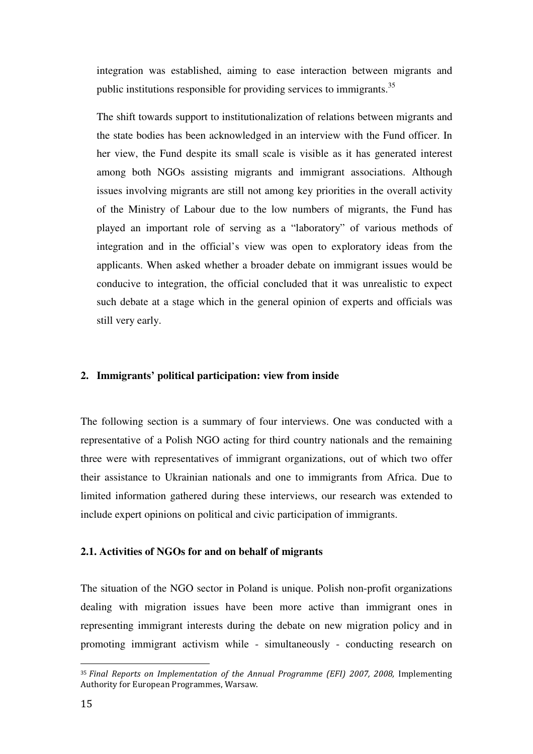integration was established, aiming to ease interaction between migrants and public institutions responsible for providing services to immigrants.<sup>35</sup>

The shift towards support to institutionalization of relations between migrants and the state bodies has been acknowledged in an interview with the Fund officer. In her view, the Fund despite its small scale is visible as it has generated interest among both NGOs assisting migrants and immigrant associations. Although issues involving migrants are still not among key priorities in the overall activity of the Ministry of Labour due to the low numbers of migrants, the Fund has played an important role of serving as a "laboratory" of various methods of integration and in the official's view was open to exploratory ideas from the applicants. When asked whether a broader debate on immigrant issues would be conducive to integration, the official concluded that it was unrealistic to expect such debate at a stage which in the general opinion of experts and officials was still very early.

#### **2. Immigrants' political participation: view from inside**

The following section is a summary of four interviews. One was conducted with a representative of a Polish NGO acting for third country nationals and the remaining three were with representatives of immigrant organizations, out of which two offer their assistance to Ukrainian nationals and one to immigrants from Africa. Due to limited information gathered during these interviews, our research was extended to include expert opinions on political and civic participation of immigrants.

#### **2.1. Activities of NGOs for and on behalf of migrants**

The situation of the NGO sector in Poland is unique. Polish non-profit organizations dealing with migration issues have been more active than immigrant ones in representing immigrant interests during the debate on new migration policy and in promoting immigrant activism while - simultaneously - conducting research on

<sup>35</sup> Final Reports on Implementation of the Annual Programme (EFI) 2007, 2008, Implementing Authority for European Programmes, Warsaw.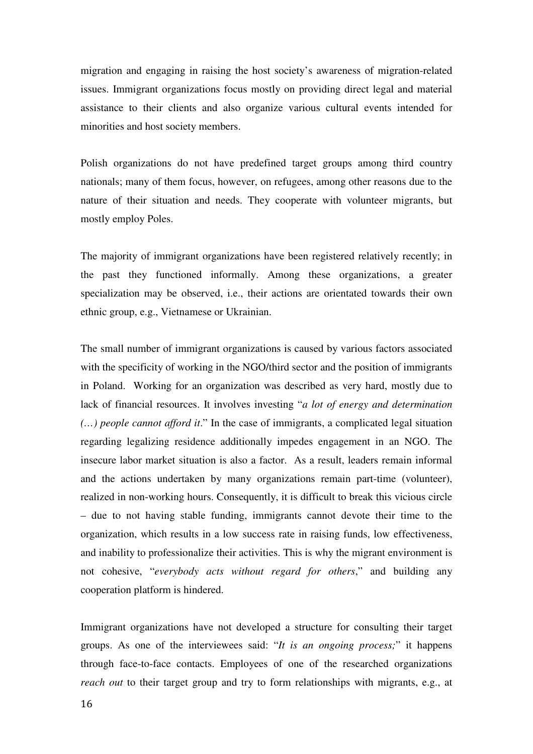migration and engaging in raising the host society's awareness of migration-related issues. Immigrant organizations focus mostly on providing direct legal and material assistance to their clients and also organize various cultural events intended for minorities and host society members.

Polish organizations do not have predefined target groups among third country nationals; many of them focus, however, on refugees, among other reasons due to the nature of their situation and needs. They cooperate with volunteer migrants, but mostly employ Poles.

The majority of immigrant organizations have been registered relatively recently; in the past they functioned informally. Among these organizations, a greater specialization may be observed, i.e., their actions are orientated towards their own ethnic group, e.g., Vietnamese or Ukrainian.

The small number of immigrant organizations is caused by various factors associated with the specificity of working in the NGO/third sector and the position of immigrants in Poland. Working for an organization was described as very hard, mostly due to lack of financial resources. It involves investing "*a lot of energy and determination (…) people cannot afford it*." In the case of immigrants, a complicated legal situation regarding legalizing residence additionally impedes engagement in an NGO. The insecure labor market situation is also a factor. As a result, leaders remain informal and the actions undertaken by many organizations remain part-time (volunteer), realized in non-working hours. Consequently, it is difficult to break this vicious circle – due to not having stable funding, immigrants cannot devote their time to the organization, which results in a low success rate in raising funds, low effectiveness, and inability to professionalize their activities. This is why the migrant environment is not cohesive, "*everybody acts without regard for others*," and building any cooperation platform is hindered.

Immigrant organizations have not developed a structure for consulting their target groups. As one of the interviewees said: "*It is an ongoing process;*" it happens through face-to-face contacts. Employees of one of the researched organizations *reach out* to their target group and try to form relationships with migrants, e.g., at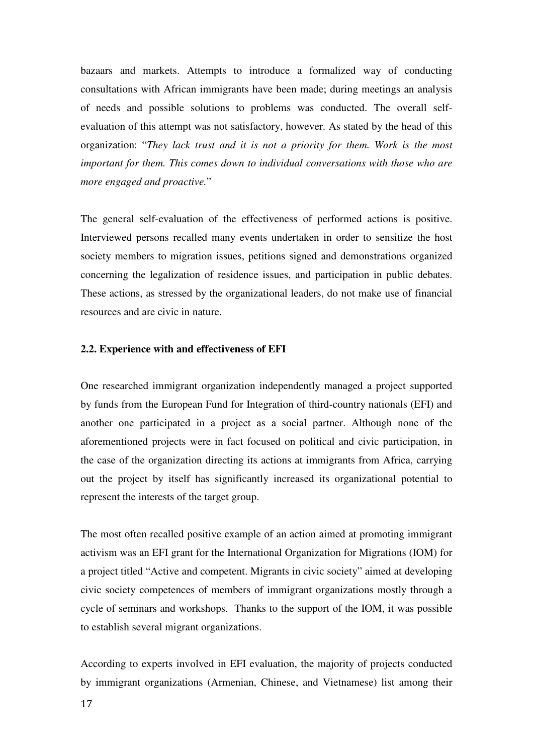bazaars and markets. Attempts to introduce a formalized way of conducting consultations with African immigrants have been made; during meetings an analysis of needs and possible solutions to problems was conducted. The overall selfevaluation of this attempt was not satisfactory, however. As stated by the head of this organization: "*They lack trust and it is not a priority for them. Work is the most important for them. This comes down to individual conversations with those who are more engaged and proactive.*"

The general self-evaluation of the effectiveness of performed actions is positive. Interviewed persons recalled many events undertaken in order to sensitize the host society members to migration issues, petitions signed and demonstrations organized concerning the legalization of residence issues, and participation in public debates. These actions, as stressed by the organizational leaders, do not make use of financial resources and are civic in nature.

#### **2.2. Experience with and effectiveness of EFI**

One researched immigrant organization independently managed a project supported by funds from the European Fund for Integration of third-country nationals (EFI) and another one participated in a project as a social partner. Although none of the aforementioned projects were in fact focused on political and civic participation, in the case of the organization directing its actions at immigrants from Africa, carrying out the project by itself has significantly increased its organizational potential to represent the interests of the target group.

The most often recalled positive example of an action aimed at promoting immigrant activism was an EFI grant for the International Organization for Migrations (IOM) for a project titled "Active and competent. Migrants in civic society" aimed at developing civic society competences of members of immigrant organizations mostly through a cycle of seminars and workshops. Thanks to the support of the IOM, it was possible to establish several migrant organizations.

According to experts involved in EFI evaluation, the majority of projects conducted by immigrant organizations (Armenian, Chinese, and Vietnamese) list among their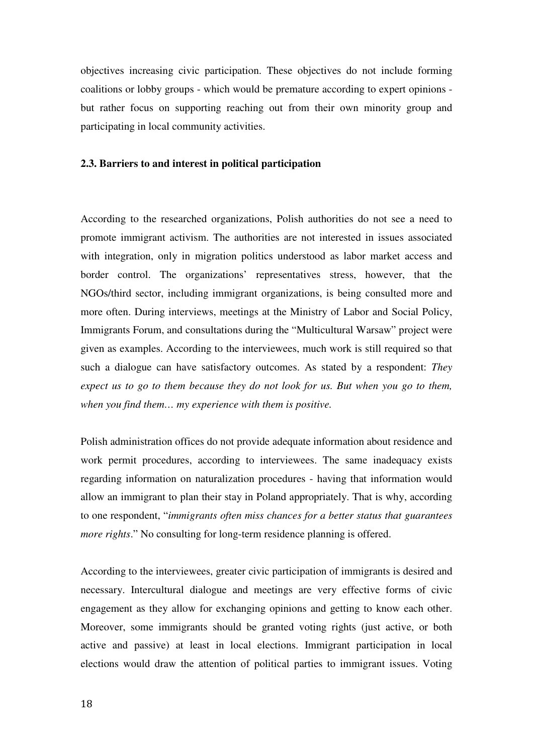objectives increasing civic participation. These objectives do not include forming coalitions or lobby groups - which would be premature according to expert opinions but rather focus on supporting reaching out from their own minority group and participating in local community activities.

#### **2.3. Barriers to and interest in political participation**

According to the researched organizations, Polish authorities do not see a need to promote immigrant activism. The authorities are not interested in issues associated with integration, only in migration politics understood as labor market access and border control. The organizations' representatives stress, however, that the NGOs/third sector, including immigrant organizations, is being consulted more and more often. During interviews, meetings at the Ministry of Labor and Social Policy, Immigrants Forum, and consultations during the "Multicultural Warsaw" project were given as examples. According to the interviewees, much work is still required so that such a dialogue can have satisfactory outcomes. As stated by a respondent: *They expect us to go to them because they do not look for us. But when you go to them, when you find them… my experience with them is positive.* 

Polish administration offices do not provide adequate information about residence and work permit procedures, according to interviewees. The same inadequacy exists regarding information on naturalization procedures - having that information would allow an immigrant to plan their stay in Poland appropriately. That is why, according to one respondent, "*immigrants often miss chances for a better status that guarantees more rights.*" No consulting for long-term residence planning is offered.

According to the interviewees, greater civic participation of immigrants is desired and necessary. Intercultural dialogue and meetings are very effective forms of civic engagement as they allow for exchanging opinions and getting to know each other. Moreover, some immigrants should be granted voting rights (just active, or both active and passive) at least in local elections. Immigrant participation in local elections would draw the attention of political parties to immigrant issues. Voting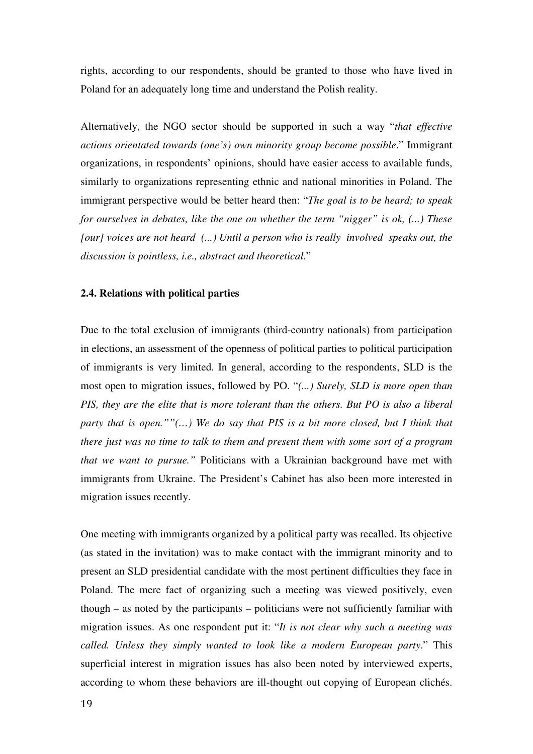rights, according to our respondents, should be granted to those who have lived in Poland for an adequately long time and understand the Polish reality.

Alternatively, the NGO sector should be supported in such a way "*that effective actions orientated towards (one's) own minority group become possible*." Immigrant organizations, in respondents' opinions, should have easier access to available funds, similarly to organizations representing ethnic and national minorities in Poland. The immigrant perspective would be better heard then: "*The goal is to be heard; to speak for ourselves in debates, like the one on whether the term "nigger" is ok, (...) These [our] voices are not heard (...) Until a person who is really involved speaks out, the discussion is pointless, i.e., abstract and theoretical*."

#### **2.4. Relations with political parties**

Due to the total exclusion of immigrants (third-country nationals) from participation in elections, an assessment of the openness of political parties to political participation of immigrants is very limited. In general, according to the respondents, SLD is the most open to migration issues, followed by PO. "*(...) Surely, SLD is more open than PIS, they are the elite that is more tolerant than the others. But PO is also a liberal party that is open.*""(...) We do say that PIS is a bit more closed, but I think that *there just was no time to talk to them and present them with some sort of a program that we want to pursue."* Politicians with a Ukrainian background have met with immigrants from Ukraine. The President's Cabinet has also been more interested in migration issues recently.

One meeting with immigrants organized by a political party was recalled. Its objective (as stated in the invitation) was to make contact with the immigrant minority and to present an SLD presidential candidate with the most pertinent difficulties they face in Poland. The mere fact of organizing such a meeting was viewed positively, even though – as noted by the participants – politicians were not sufficiently familiar with migration issues. As one respondent put it: "*It is not clear why such a meeting was called. Unless they simply wanted to look like a modern European party*." This superficial interest in migration issues has also been noted by interviewed experts, according to whom these behaviors are ill-thought out copying of European clichés.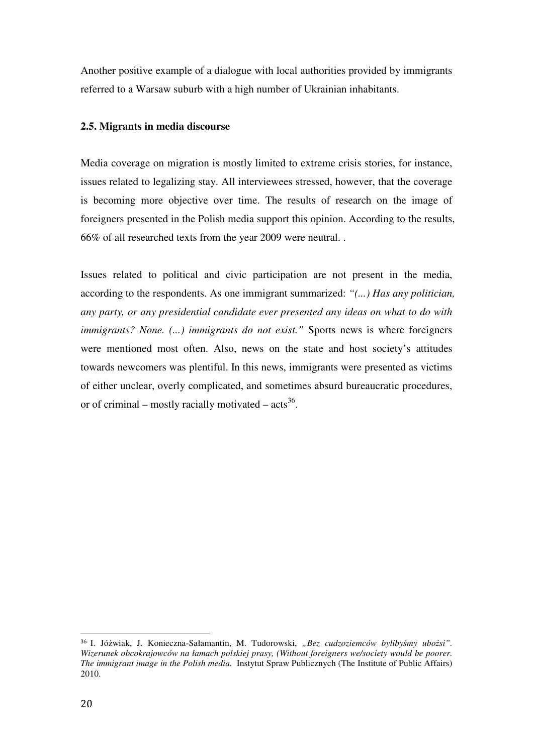Another positive example of a dialogue with local authorities provided by immigrants referred to a Warsaw suburb with a high number of Ukrainian inhabitants.

## **2.5. Migrants in media discourse**

Media coverage on migration is mostly limited to extreme crisis stories, for instance, issues related to legalizing stay. All interviewees stressed, however, that the coverage is becoming more objective over time. The results of research on the image of foreigners presented in the Polish media support this opinion. According to the results, 66% of all researched texts from the year 2009 were neutral. .

Issues related to political and civic participation are not present in the media, according to the respondents. As one immigrant summarized: *"(...) Has any politician, any party, or any presidential candidate ever presented any ideas on what to do with immigrants? None. (...) immigrants do not exist."* Sports news is where foreigners were mentioned most often. Also, news on the state and host society's attitudes towards newcomers was plentiful. In this news, immigrants were presented as victims of either unclear, overly complicated, and sometimes absurd bureaucratic procedures, or of criminal – mostly racially motivated –  $\arctan 36$ .

 $\overline{a}$ <sup>36</sup> I. Jóźwiak, J. Konieczna-Sałamantin, M. Tudorowski, *"Bez cudzoziemców byliby*ś*my ubo*ż*si". Wizerunek obcokrajowców na łamach polskiej prasy, (Without foreigners we/society would be poorer. The immigrant image in the Polish media.* Instytut Spraw Publicznych (The Institute of Public Affairs) 2010.